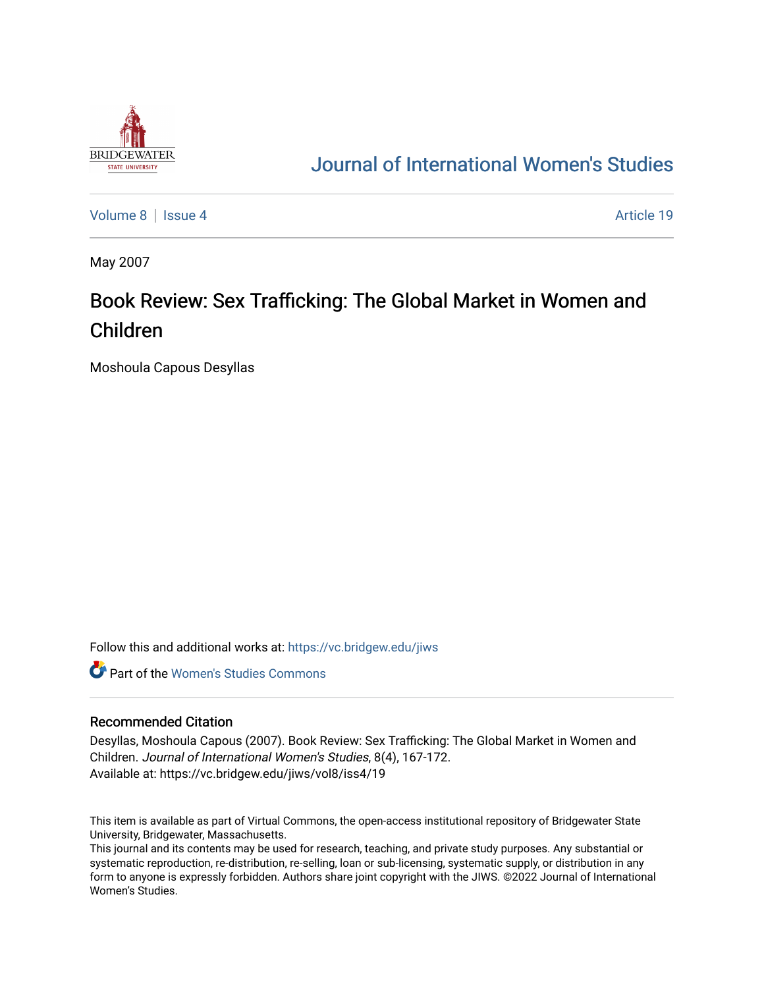

## [Journal of International Women's Studies](https://vc.bridgew.edu/jiws)

[Volume 8](https://vc.bridgew.edu/jiws/vol8) | [Issue 4](https://vc.bridgew.edu/jiws/vol8/iss4) Article 19

May 2007

# Book Review: Sex Trafficking: The Global Market in Women and Children

Moshoula Capous Desyllas

Follow this and additional works at: [https://vc.bridgew.edu/jiws](https://vc.bridgew.edu/jiws?utm_source=vc.bridgew.edu%2Fjiws%2Fvol8%2Fiss4%2F19&utm_medium=PDF&utm_campaign=PDFCoverPages)

**C** Part of the Women's Studies Commons

#### Recommended Citation

Desyllas, Moshoula Capous (2007). Book Review: Sex Trafficking: The Global Market in Women and Children. Journal of International Women's Studies, 8(4), 167-172. Available at: https://vc.bridgew.edu/jiws/vol8/iss4/19

This item is available as part of Virtual Commons, the open-access institutional repository of Bridgewater State University, Bridgewater, Massachusetts.

This journal and its contents may be used for research, teaching, and private study purposes. Any substantial or systematic reproduction, re-distribution, re-selling, loan or sub-licensing, systematic supply, or distribution in any form to anyone is expressly forbidden. Authors share joint copyright with the JIWS. ©2022 Journal of International Women's Studies.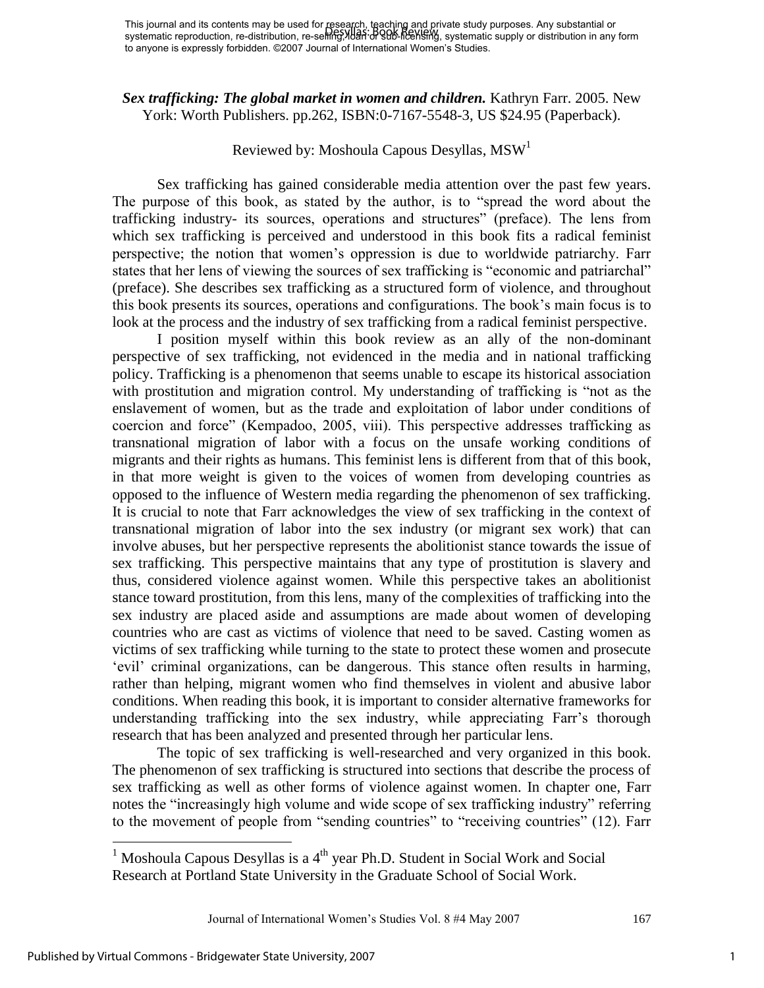*Sex trafficking: The global market in women and children.* Kathryn Farr. 2005. New York: Worth Publishers. pp.262, ISBN:0-7167-5548-3, US \$24.95 (Paperback).

## Reviewed by: Moshoula Capous Desyllas, MSW<sup>1</sup>

Sex trafficking has gained considerable media attention over the past few years. The purpose of this book, as stated by the author, is to "spread the word about the trafficking industry- its sources, operations and structures" (preface). The lens from which sex trafficking is perceived and understood in this book fits a radical feminist perspective; the notion that women"s oppression is due to worldwide patriarchy. Farr states that her lens of viewing the sources of sex trafficking is "economic and patriarchal" (preface). She describes sex trafficking as a structured form of violence, and throughout this book presents its sources, operations and configurations. The book"s main focus is to look at the process and the industry of sex trafficking from a radical feminist perspective.

I position myself within this book review as an ally of the non-dominant perspective of sex trafficking, not evidenced in the media and in national trafficking policy. Trafficking is a phenomenon that seems unable to escape its historical association with prostitution and migration control. My understanding of trafficking is "not as the enslavement of women, but as the trade and exploitation of labor under conditions of coercion and force" (Kempadoo, 2005, viii). This perspective addresses trafficking as transnational migration of labor with a focus on the unsafe working conditions of migrants and their rights as humans. This feminist lens is different from that of this book, in that more weight is given to the voices of women from developing countries as opposed to the influence of Western media regarding the phenomenon of sex trafficking. It is crucial to note that Farr acknowledges the view of sex trafficking in the context of transnational migration of labor into the sex industry (or migrant sex work) that can involve abuses, but her perspective represents the abolitionist stance towards the issue of sex trafficking. This perspective maintains that any type of prostitution is slavery and thus, considered violence against women. While this perspective takes an abolitionist stance toward prostitution, from this lens, many of the complexities of trafficking into the sex industry are placed aside and assumptions are made about women of developing countries who are cast as victims of violence that need to be saved. Casting women as victims of sex trafficking while turning to the state to protect these women and prosecute "evil" criminal organizations, can be dangerous. This stance often results in harming, rather than helping, migrant women who find themselves in violent and abusive labor conditions. When reading this book, it is important to consider alternative frameworks for understanding trafficking into the sex industry, while appreciating Farr"s thorough research that has been analyzed and presented through her particular lens.

The topic of sex trafficking is well-researched and very organized in this book. The phenomenon of sex trafficking is structured into sections that describe the process of sex trafficking as well as other forms of violence against women. In chapter one, Farr notes the "increasingly high volume and wide scope of sex trafficking industry" referring to the movement of people from "sending countries" to "receiving countries" (12). Farr

Journal of International Women's Studies Vol. 8 #4 May 2007 167

 $\overline{a}$ 

1

<sup>&</sup>lt;sup>1</sup> Moshoula Capous Desyllas is a  $4<sup>th</sup>$  year Ph.D. Student in Social Work and Social Research at Portland State University in the Graduate School of Social Work.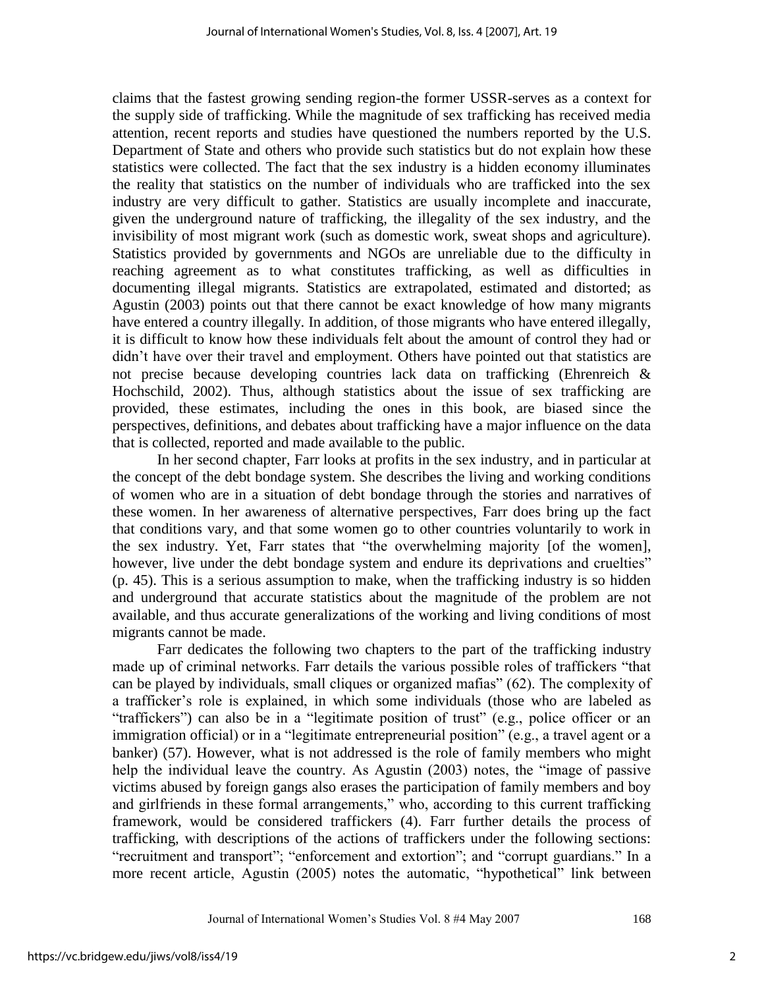claims that the fastest growing sending region-the former USSR-serves as a context for the supply side of trafficking. While the magnitude of sex trafficking has received media attention, recent reports and studies have questioned the numbers reported by the U.S. Department of State and others who provide such statistics but do not explain how these statistics were collected. The fact that the sex industry is a hidden economy illuminates the reality that statistics on the number of individuals who are trafficked into the sex industry are very difficult to gather. Statistics are usually incomplete and inaccurate, given the underground nature of trafficking, the illegality of the sex industry, and the invisibility of most migrant work (such as domestic work, sweat shops and agriculture). Statistics provided by governments and NGOs are unreliable due to the difficulty in reaching agreement as to what constitutes trafficking, as well as difficulties in documenting illegal migrants. Statistics are extrapolated, estimated and distorted; as Agustin (2003) points out that there cannot be exact knowledge of how many migrants have entered a country illegally. In addition, of those migrants who have entered illegally, it is difficult to know how these individuals felt about the amount of control they had or didn"t have over their travel and employment. Others have pointed out that statistics are not precise because developing countries lack data on trafficking (Ehrenreich & Hochschild, 2002). Thus, although statistics about the issue of sex trafficking are provided, these estimates, including the ones in this book, are biased since the perspectives, definitions, and debates about trafficking have a major influence on the data that is collected, reported and made available to the public.

In her second chapter, Farr looks at profits in the sex industry, and in particular at the concept of the debt bondage system. She describes the living and working conditions of women who are in a situation of debt bondage through the stories and narratives of these women. In her awareness of alternative perspectives, Farr does bring up the fact that conditions vary, and that some women go to other countries voluntarily to work in the sex industry. Yet, Farr states that "the overwhelming majority [of the women], however, live under the debt bondage system and endure its deprivations and cruelties" (p. 45). This is a serious assumption to make, when the trafficking industry is so hidden and underground that accurate statistics about the magnitude of the problem are not available, and thus accurate generalizations of the working and living conditions of most migrants cannot be made.

Farr dedicates the following two chapters to the part of the trafficking industry made up of criminal networks. Farr details the various possible roles of traffickers "that can be played by individuals, small cliques or organized mafias" (62). The complexity of a trafficker"s role is explained, in which some individuals (those who are labeled as "traffickers") can also be in a "legitimate position of trust" (e.g., police officer or an immigration official) or in a "legitimate entrepreneurial position" (e.g., a travel agent or a banker) (57). However, what is not addressed is the role of family members who might help the individual leave the country. As Agustin (2003) notes, the "image of passive victims abused by foreign gangs also erases the participation of family members and boy and girlfriends in these formal arrangements," who, according to this current trafficking framework, would be considered traffickers (4). Farr further details the process of trafficking, with descriptions of the actions of traffickers under the following sections: "recruitment and transport"; "enforcement and extortion"; and "corrupt guardians." In a more recent article, Agustin (2005) notes the automatic, "hypothetical" link between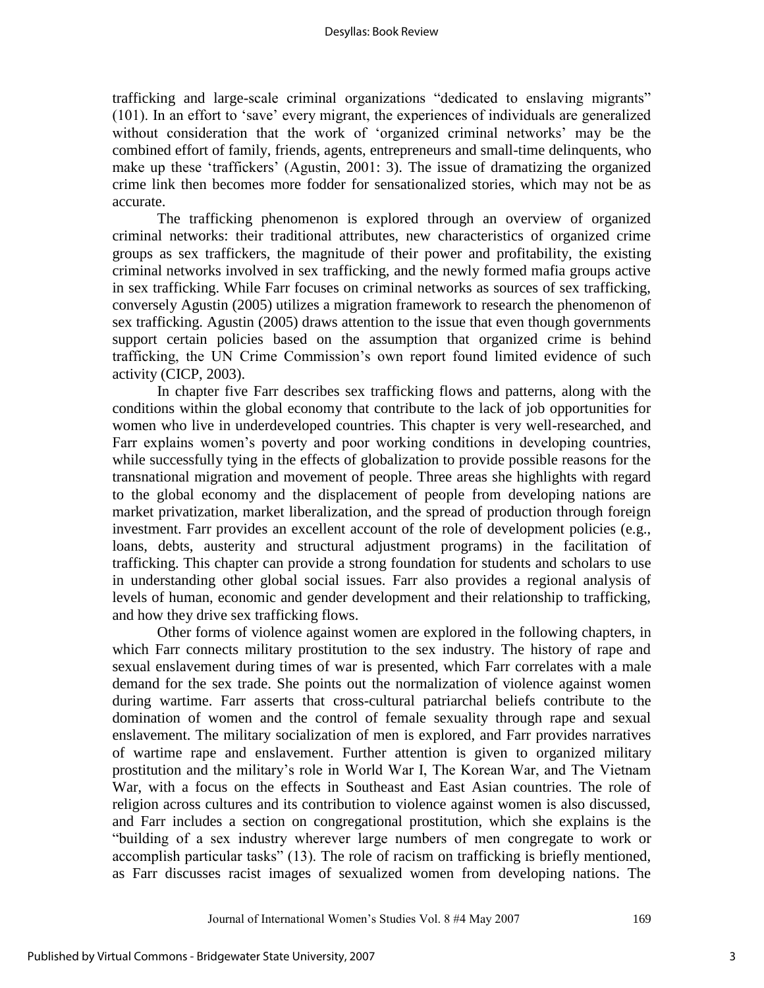trafficking and large-scale criminal organizations "dedicated to enslaving migrants" (101). In an effort to "save" every migrant, the experiences of individuals are generalized without consideration that the work of "organized criminal networks" may be the combined effort of family, friends, agents, entrepreneurs and small-time delinquents, who make up these "traffickers" (Agustin, 2001: 3). The issue of dramatizing the organized crime link then becomes more fodder for sensationalized stories, which may not be as accurate.

The trafficking phenomenon is explored through an overview of organized criminal networks: their traditional attributes, new characteristics of organized crime groups as sex traffickers, the magnitude of their power and profitability, the existing criminal networks involved in sex trafficking, and the newly formed mafia groups active in sex trafficking. While Farr focuses on criminal networks as sources of sex trafficking, conversely Agustin (2005) utilizes a migration framework to research the phenomenon of sex trafficking. Agustin (2005) draws attention to the issue that even though governments support certain policies based on the assumption that organized crime is behind trafficking, the UN Crime Commission"s own report found limited evidence of such activity (CICP, 2003).

In chapter five Farr describes sex trafficking flows and patterns, along with the conditions within the global economy that contribute to the lack of job opportunities for women who live in underdeveloped countries. This chapter is very well-researched, and Farr explains women's poverty and poor working conditions in developing countries, while successfully tying in the effects of globalization to provide possible reasons for the transnational migration and movement of people. Three areas she highlights with regard to the global economy and the displacement of people from developing nations are market privatization, market liberalization, and the spread of production through foreign investment. Farr provides an excellent account of the role of development policies (e.g., loans, debts, austerity and structural adjustment programs) in the facilitation of trafficking. This chapter can provide a strong foundation for students and scholars to use in understanding other global social issues. Farr also provides a regional analysis of levels of human, economic and gender development and their relationship to trafficking, and how they drive sex trafficking flows.

Other forms of violence against women are explored in the following chapters, in which Farr connects military prostitution to the sex industry. The history of rape and sexual enslavement during times of war is presented, which Farr correlates with a male demand for the sex trade. She points out the normalization of violence against women during wartime. Farr asserts that cross-cultural patriarchal beliefs contribute to the domination of women and the control of female sexuality through rape and sexual enslavement. The military socialization of men is explored, and Farr provides narratives of wartime rape and enslavement. Further attention is given to organized military prostitution and the military"s role in World War I, The Korean War, and The Vietnam War, with a focus on the effects in Southeast and East Asian countries. The role of religion across cultures and its contribution to violence against women is also discussed, and Farr includes a section on congregational prostitution, which she explains is the "building of a sex industry wherever large numbers of men congregate to work or accomplish particular tasks" (13). The role of racism on trafficking is briefly mentioned, as Farr discusses racist images of sexualized women from developing nations. The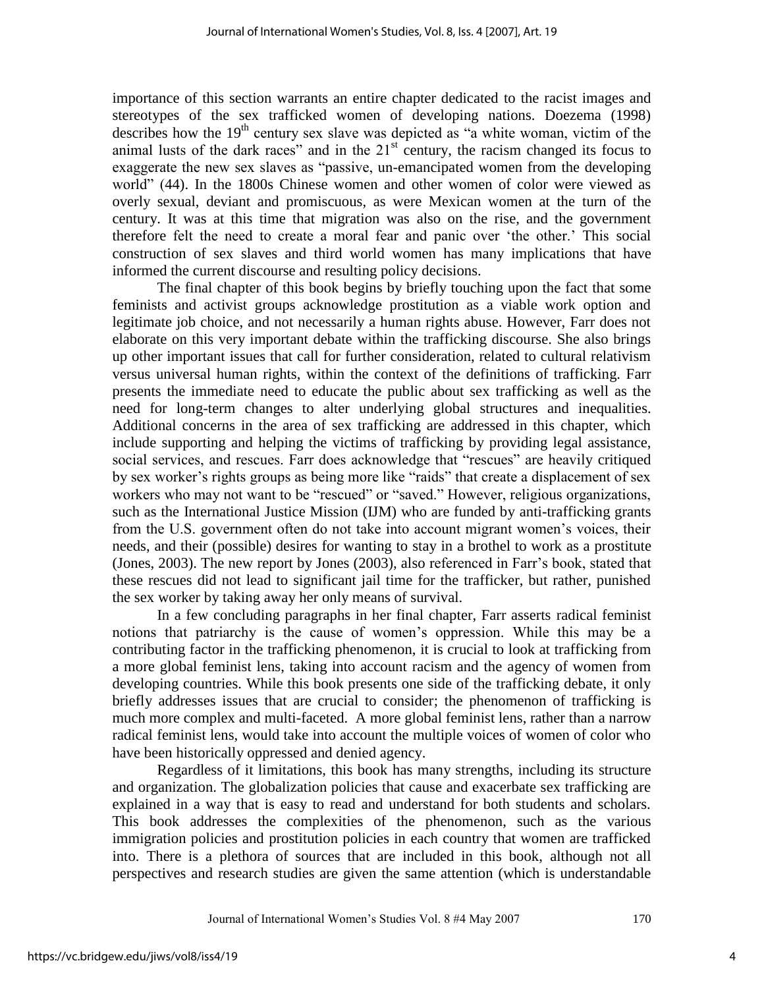importance of this section warrants an entire chapter dedicated to the racist images and stereotypes of the sex trafficked women of developing nations. Doezema (1998) describes how the 19<sup>th</sup> century sex slave was depicted as "a white woman, victim of the animal lusts of the dark races" and in the  $21<sup>st</sup>$  century, the racism changed its focus to exaggerate the new sex slaves as "passive, un-emancipated women from the developing world" (44). In the 1800s Chinese women and other women of color were viewed as overly sexual, deviant and promiscuous, as were Mexican women at the turn of the century. It was at this time that migration was also on the rise, and the government therefore felt the need to create a moral fear and panic over "the other." This social construction of sex slaves and third world women has many implications that have informed the current discourse and resulting policy decisions.

The final chapter of this book begins by briefly touching upon the fact that some feminists and activist groups acknowledge prostitution as a viable work option and legitimate job choice, and not necessarily a human rights abuse. However, Farr does not elaborate on this very important debate within the trafficking discourse. She also brings up other important issues that call for further consideration, related to cultural relativism versus universal human rights, within the context of the definitions of trafficking. Farr presents the immediate need to educate the public about sex trafficking as well as the need for long-term changes to alter underlying global structures and inequalities. Additional concerns in the area of sex trafficking are addressed in this chapter, which include supporting and helping the victims of trafficking by providing legal assistance, social services, and rescues. Farr does acknowledge that "rescues" are heavily critiqued by sex worker"s rights groups as being more like "raids" that create a displacement of sex workers who may not want to be "rescued" or "saved." However, religious organizations, such as the International Justice Mission (IJM) who are funded by anti-trafficking grants from the U.S. government often do not take into account migrant women"s voices, their needs, and their (possible) desires for wanting to stay in a brothel to work as a prostitute (Jones, 2003). The new report by Jones (2003), also referenced in Farr"s book, stated that these rescues did not lead to significant jail time for the trafficker, but rather, punished the sex worker by taking away her only means of survival.

In a few concluding paragraphs in her final chapter, Farr asserts radical feminist notions that patriarchy is the cause of women"s oppression. While this may be a contributing factor in the trafficking phenomenon, it is crucial to look at trafficking from a more global feminist lens, taking into account racism and the agency of women from developing countries. While this book presents one side of the trafficking debate, it only briefly addresses issues that are crucial to consider; the phenomenon of trafficking is much more complex and multi-faceted. A more global feminist lens, rather than a narrow radical feminist lens, would take into account the multiple voices of women of color who have been historically oppressed and denied agency.

Regardless of it limitations, this book has many strengths, including its structure and organization. The globalization policies that cause and exacerbate sex trafficking are explained in a way that is easy to read and understand for both students and scholars. This book addresses the complexities of the phenomenon, such as the various immigration policies and prostitution policies in each country that women are trafficked into. There is a plethora of sources that are included in this book, although not all perspectives and research studies are given the same attention (which is understandable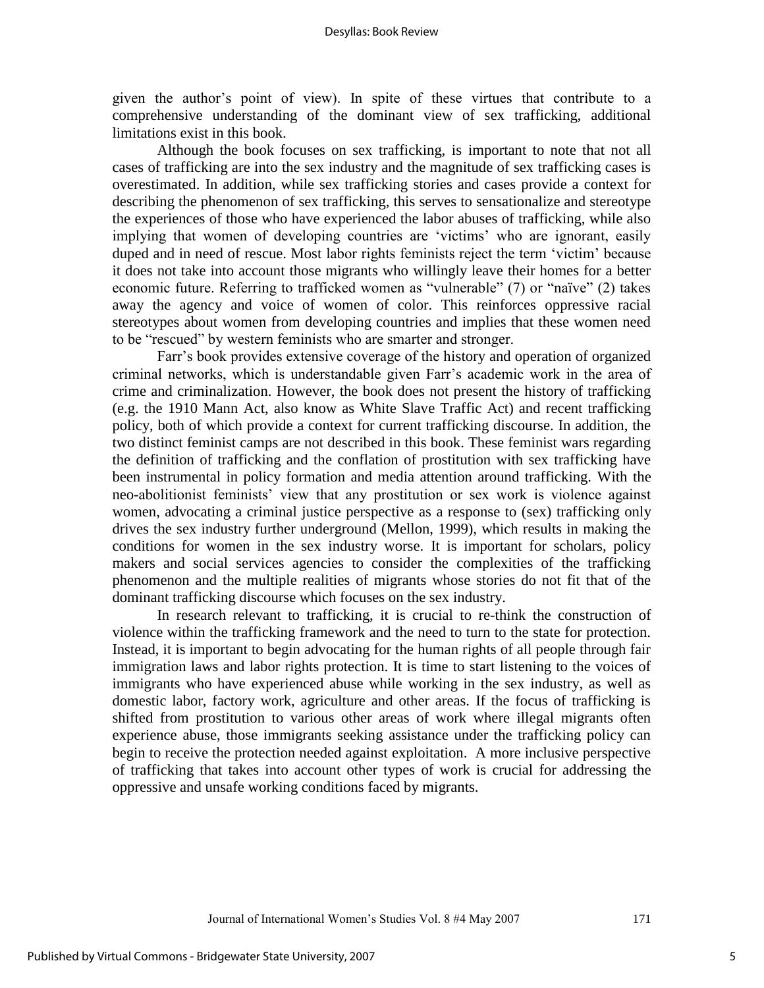given the author"s point of view). In spite of these virtues that contribute to a comprehensive understanding of the dominant view of sex trafficking, additional limitations exist in this book.

Although the book focuses on sex trafficking, is important to note that not all cases of trafficking are into the sex industry and the magnitude of sex trafficking cases is overestimated. In addition, while sex trafficking stories and cases provide a context for describing the phenomenon of sex trafficking, this serves to sensationalize and stereotype the experiences of those who have experienced the labor abuses of trafficking, while also implying that women of developing countries are "victims" who are ignorant, easily duped and in need of rescue. Most labor rights feminists reject the term 'victim' because it does not take into account those migrants who willingly leave their homes for a better economic future. Referring to trafficked women as "vulnerable" (7) or "naïve" (2) takes away the agency and voice of women of color. This reinforces oppressive racial stereotypes about women from developing countries and implies that these women need to be "rescued" by western feminists who are smarter and stronger.

Farr"s book provides extensive coverage of the history and operation of organized criminal networks, which is understandable given Farr"s academic work in the area of crime and criminalization. However, the book does not present the history of trafficking (e.g. the 1910 Mann Act, also know as White Slave Traffic Act) and recent trafficking policy, both of which provide a context for current trafficking discourse. In addition, the two distinct feminist camps are not described in this book. These feminist wars regarding the definition of trafficking and the conflation of prostitution with sex trafficking have been instrumental in policy formation and media attention around trafficking. With the neo-abolitionist feminists' view that any prostitution or sex work is violence against women, advocating a criminal justice perspective as a response to (sex) trafficking only drives the sex industry further underground (Mellon, 1999), which results in making the conditions for women in the sex industry worse. It is important for scholars, policy makers and social services agencies to consider the complexities of the trafficking phenomenon and the multiple realities of migrants whose stories do not fit that of the dominant trafficking discourse which focuses on the sex industry.

In research relevant to trafficking, it is crucial to re-think the construction of violence within the trafficking framework and the need to turn to the state for protection. Instead, it is important to begin advocating for the human rights of all people through fair immigration laws and labor rights protection. It is time to start listening to the voices of immigrants who have experienced abuse while working in the sex industry, as well as domestic labor, factory work, agriculture and other areas. If the focus of trafficking is shifted from prostitution to various other areas of work where illegal migrants often experience abuse, those immigrants seeking assistance under the trafficking policy can begin to receive the protection needed against exploitation. A more inclusive perspective of trafficking that takes into account other types of work is crucial for addressing the oppressive and unsafe working conditions faced by migrants.